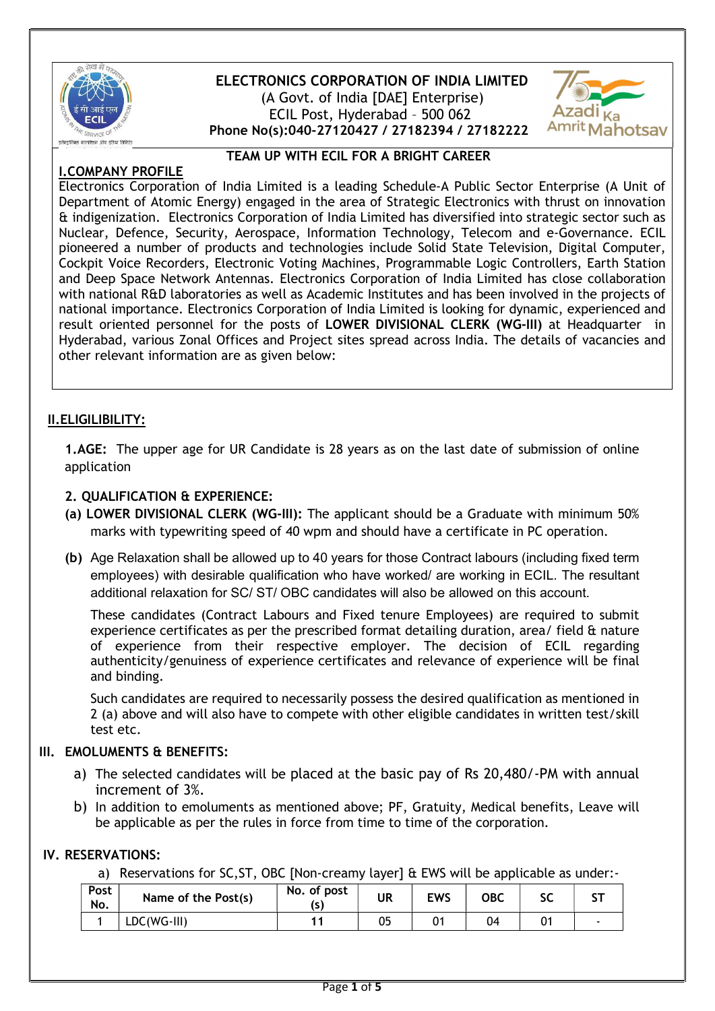

# ELECTRONICS CORPORATION OF INDIA LIMITED (A Govt. of India [DAE] Enterprise) ECIL Post, Hyderabad – 500 062 Phone No(s):040-27120427 / 27182394 / 27182222

TEAM UP WITH ECIL FOR A BRIGHT CAREER



# I.COMPANY PROFILE

Electronics Corporation of India Limited is a leading Schedule-A Public Sector Enterprise (A Unit of Department of Atomic Energy) engaged in the area of Strategic Electronics with thrust on innovation & indigenization. Electronics Corporation of India Limited has diversified into strategic sector such as Nuclear, Defence, Security, Aerospace, Information Technology, Telecom and e-Governance. ECIL pioneered a number of products and technologies include Solid State Television, Digital Computer, Cockpit Voice Recorders, Electronic Voting Machines, Programmable Logic Controllers, Earth Station and Deep Space Network Antennas. Electronics Corporation of India Limited has close collaboration with national R&D laboratories as well as Academic Institutes and has been involved in the projects of national importance. Electronics Corporation of India Limited is looking for dynamic, experienced and result oriented personnel for the posts of LOWER DIVISIONAL CLERK (WG-III) at Headquarter in Hyderabad, various Zonal Offices and Project sites spread across India. The details of vacancies and other relevant information are as given below:

## II.ELIGILIBILITY:

1.AGE: The upper age for UR Candidate is 28 years as on the last date of submission of online application

## 2. QUALIFICATION & EXPERIENCE:

- (a) LOWER DIVISIONAL CLERK (WG-III): The applicant should be a Graduate with minimum 50% marks with typewriting speed of 40 wpm and should have a certificate in PC operation.
- (b) Age Relaxation shall be allowed up to 40 years for those Contract labours (including fixed term employees) with desirable qualification who have worked/ are working in ECIL. The resultant additional relaxation for SC/ ST/ OBC candidates will also be allowed on this account.

These candidates (Contract Labours and Fixed tenure Employees) are required to submit experience certificates as per the prescribed format detailing duration, area/ field & nature of experience from their respective employer. The decision of ECIL regarding authenticity/genuiness of experience certificates and relevance of experience will be final and binding.

Such candidates are required to necessarily possess the desired qualification as mentioned in 2 (a) above and will also have to compete with other eligible candidates in written test/skill test etc.

## III. EMOLUMENTS & BENEFITS:

- a) The selected candidates will be placed at the basic pay of Rs 20,480/-PM with annual increment of 3%.
- b) In addition to emoluments as mentioned above; PF, Gratuity, Medical benefits, Leave will be applicable as per the rules in force from time to time of the corporation.

## IV. RESERVATIONS:

a) Reservations for SC,ST, OBC [Non-creamy layer] & EWS will be applicable as under:-

| Post<br>No. | Name of the Post(s) | No. of post<br>ls. | <b>UR</b> | EWS | ОВС | ע  |  |
|-------------|---------------------|--------------------|-----------|-----|-----|----|--|
|             | LDC(WG-III)         |                    | 05        |     | 04  | 01 |  |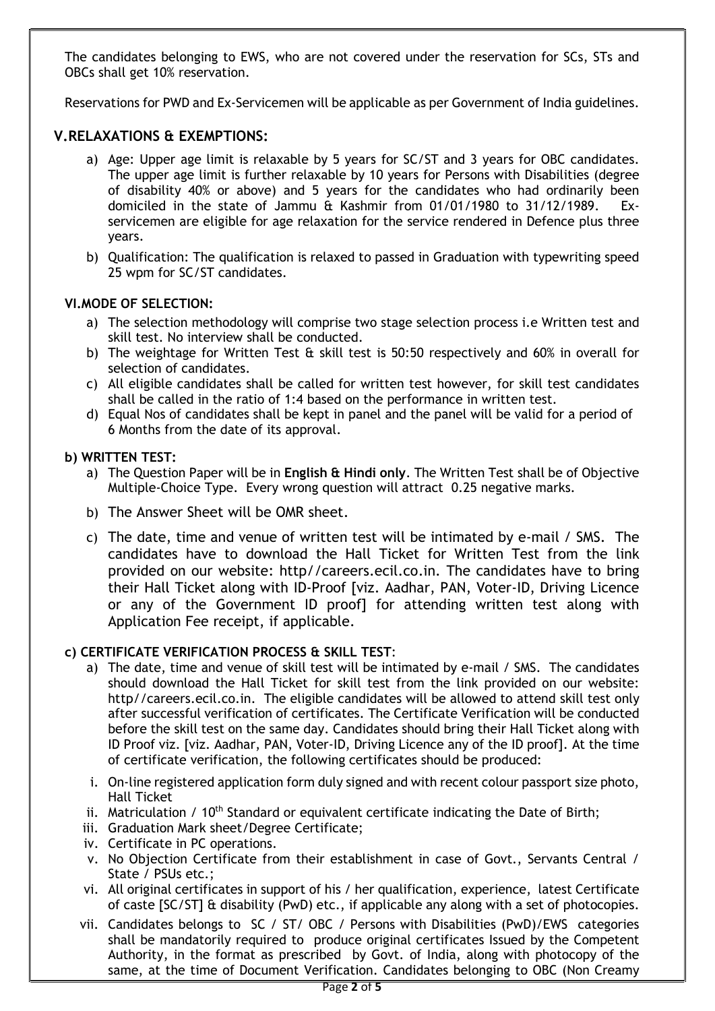The candidates belonging to EWS, who are not covered under the reservation for SCs, STs and OBCs shall get 10% reservation.

Reservations for PWD and Ex-Servicemen will be applicable as per Government of India guidelines.

## V.RELAXATIONS & EXEMPTIONS:

- a) Age: Upper age limit is relaxable by 5 years for SC/ST and 3 years for OBC candidates. The upper age limit is further relaxable by 10 years for Persons with Disabilities (degree of disability 40% or above) and 5 years for the candidates who had ordinarily been domiciled in the state of Jammu & Kashmir from 01/01/1980 to 31/12/1989. Exservicemen are eligible for age relaxation for the service rendered in Defence plus three years.
- b) Qualification: The qualification is relaxed to passed in Graduation with typewriting speed 25 wpm for SC/ST candidates.

#### VI.MODE OF SELECTION:

- a) The selection methodology will comprise two stage selection process i.e Written test and skill test. No interview shall be conducted.
- b) The weightage for Written Test & skill test is 50:50 respectively and 60% in overall for selection of candidates.
- c) All eligible candidates shall be called for written test however, for skill test candidates shall be called in the ratio of 1:4 based on the performance in written test.
- d) Equal Nos of candidates shall be kept in panel and the panel will be valid for a period of 6 Months from the date of its approval.

#### b) WRITTEN TEST:

- a) The Question Paper will be in English & Hindi only. The Written Test shall be of Objective Multiple-Choice Type. Every wrong question will attract 0.25 negative marks.
- b) The Answer Sheet will be OMR sheet.
- c) The date, time and venue of written test will be intimated by e-mail / SMS. The candidates have to download the Hall Ticket for Written Test from the link provided on our website: http//careers.ecil.co.in. The candidates have to bring their Hall Ticket along with ID-Proof [viz. Aadhar, PAN, Voter-ID, Driving Licence or any of the Government ID proof] for attending written test along with Application Fee receipt, if applicable.

#### c) CERTIFICATE VERIFICATION PROCESS & SKILL TEST:

- a) The date, time and venue of skill test will be intimated by e-mail / SMS. The candidates should download the Hall Ticket for skill test from the link provided on our website: http//careers.ecil.co.in. The eligible candidates will be allowed to attend skill test only after successful verification of certificates. The Certificate Verification will be conducted before the skill test on the same day. Candidates should bring their Hall Ticket along with ID Proof viz. [viz. Aadhar, PAN, Voter-ID, Driving Licence any of the ID proof]. At the time of certificate verification, the following certificates should be produced:
- i. On-line registered application form duly signed and with recent colour passport size photo, Hall Ticket
- ii. Matriculation /  $10<sup>th</sup>$  Standard or equivalent certificate indicating the Date of Birth;
- iii. Graduation Mark sheet/Degree Certificate;
- iv. Certificate in PC operations.
- v. No Objection Certificate from their establishment in case of Govt., Servants Central / State / PSUs etc.;
- vi. All original certificates in support of his / her qualification, experience, latest Certificate of caste [SC/ST] & disability (PwD) etc., if applicable any along with a set of photocopies.
- vii. Candidates belongs to SC / ST/ OBC / Persons with Disabilities (PwD)/EWS categories shall be mandatorily required to produce original certificates Issued by the Competent Authority, in the format as prescribed by Govt. of India, along with photocopy of the same, at the time of Document Verification. Candidates belonging to OBC (Non Creamy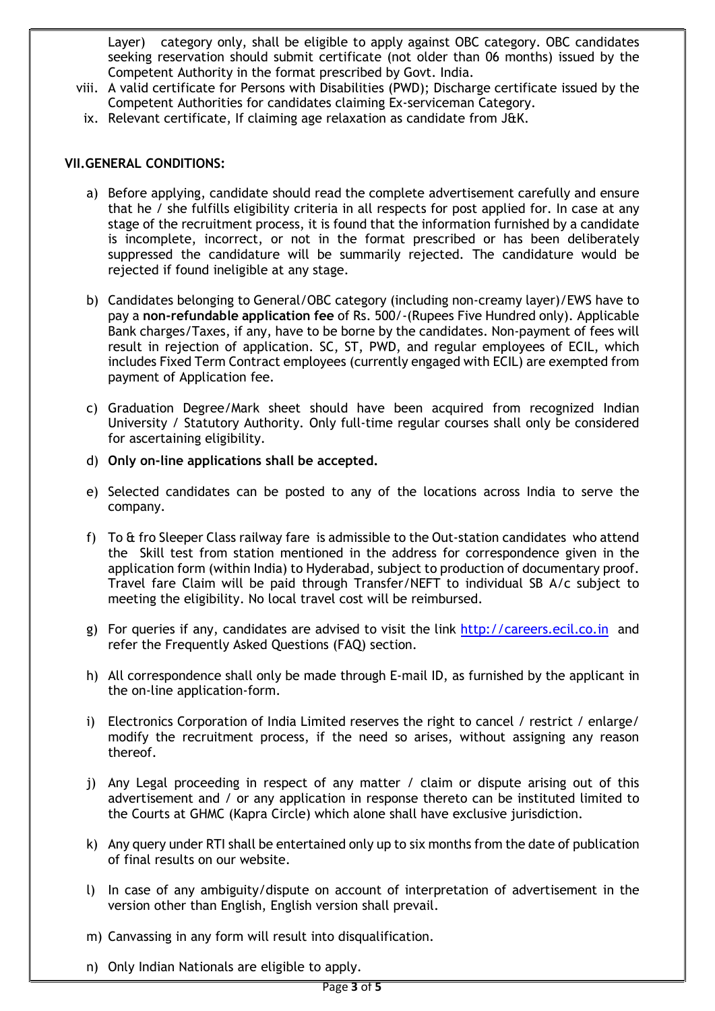Layer) category only, shall be eligible to apply against OBC category. OBC candidates seeking reservation should submit certificate (not older than 06 months) issued by the Competent Authority in the format prescribed by Govt. India.

- viii. A valid certificate for Persons with Disabilities (PWD); Discharge certificate issued by the Competent Authorities for candidates claiming Ex-serviceman Category.
- ix. Relevant certificate, If claiming age relaxation as candidate from J&K.

#### VII.GENERAL CONDITIONS:

- a) Before applying, candidate should read the complete advertisement carefully and ensure that he / she fulfills eligibility criteria in all respects for post applied for. In case at any stage of the recruitment process, it is found that the information furnished by a candidate is incomplete, incorrect, or not in the format prescribed or has been deliberately suppressed the candidature will be summarily rejected. The candidature would be rejected if found ineligible at any stage.
- b) Candidates belonging to General/OBC category (including non-creamy layer)/EWS have to pay a non-refundable application fee of Rs. 500/-(Rupees Five Hundred only). Applicable Bank charges/Taxes, if any, have to be borne by the candidates. Non-payment of fees will result in rejection of application. SC, ST, PWD, and regular employees of ECIL, which includes Fixed Term Contract employees (currently engaged with ECIL) are exempted from payment of Application fee.
- c) Graduation Degree/Mark sheet should have been acquired from recognized Indian University / Statutory Authority. Only full-time regular courses shall only be considered for ascertaining eligibility.
- d) Only on-line applications shall be accepted.
- e) Selected candidates can be posted to any of the locations across India to serve the company.
- f) To & fro Sleeper Class railway fare is admissible to the Out-station candidates who attend the Skill test from station mentioned in the address for correspondence given in the application form (within India) to Hyderabad, subject to production of documentary proof. Travel fare Claim will be paid through Transfer/NEFT to individual SB A/c subject to meeting the eligibility. No local travel cost will be reimbursed.
- g) For queries if any, candidates are advised to visit the link http://careers.ecil.co.in and refer the Frequently Asked Questions (FAQ) section.
- h) All correspondence shall only be made through E-mail ID, as furnished by the applicant in the on-line application-form.
- i) Electronics Corporation of India Limited reserves the right to cancel / restrict / enlarge/ modify the recruitment process, if the need so arises, without assigning any reason thereof.
- j) Any Legal proceeding in respect of any matter / claim or dispute arising out of this advertisement and / or any application in response thereto can be instituted limited to the Courts at GHMC (Kapra Circle) which alone shall have exclusive jurisdiction.
- k) Any query under RTI shall be entertained only up to six months from the date of publication of final results on our website.
- l) In case of any ambiguity/dispute on account of interpretation of advertisement in the version other than English, English version shall prevail.
- m) Canvassing in any form will result into disqualification.
- n) Only Indian Nationals are eligible to apply.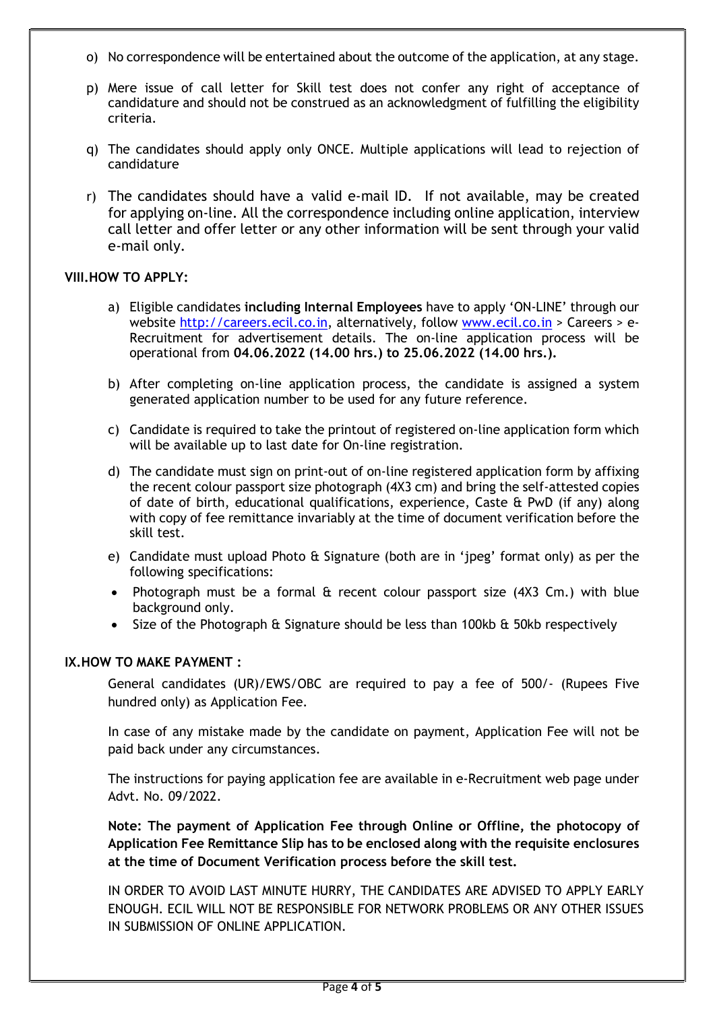- o) No correspondence will be entertained about the outcome of the application, at any stage.
- p) Mere issue of call letter for Skill test does not confer any right of acceptance of candidature and should not be construed as an acknowledgment of fulfilling the eligibility criteria.
- q) The candidates should apply only ONCE. Multiple applications will lead to rejection of candidature
- r) The candidates should have a valid e-mail ID. If not available, may be created for applying on-line. All the correspondence including online application, interview call letter and offer letter or any other information will be sent through your valid e-mail only.

### VIII.HOW TO APPLY:

- a) Eligible candidates including Internal Employees have to apply 'ON-LINE' through our website http://careers.ecil.co.in, alternatively, follow www.ecil.co.in > Careers > e-Recruitment for advertisement details. The on-line application process will be operational from 04.06.2022 (14.00 hrs.) to 25.06.2022 (14.00 hrs.).
- b) After completing on-line application process, the candidate is assigned a system generated application number to be used for any future reference.
- c) Candidate is required to take the printout of registered on-line application form which will be available up to last date for On-line registration.
- d) The candidate must sign on print-out of on-line registered application form by affixing the recent colour passport size photograph (4X3 cm) and bring the self-attested copies of date of birth, educational qualifications, experience, Caste & PwD (if any) along with copy of fee remittance invariably at the time of document verification before the skill test.
- e) Candidate must upload Photo & Signature (both are in 'jpeg' format only) as per the following specifications:
- Photograph must be a formal & recent colour passport size (4X3 Cm.) with blue background only.
- Size of the Photograph & Signature should be less than 100kb & 50kb respectively

#### IX.HOW TO MAKE PAYMENT :

General candidates (UR)/EWS/OBC are required to pay a fee of 500/- (Rupees Five hundred only) as Application Fee.

In case of any mistake made by the candidate on payment, Application Fee will not be paid back under any circumstances.

The instructions for paying application fee are available in e-Recruitment web page under Advt. No. 09/2022.

Note: The payment of Application Fee through Online or Offline, the photocopy of Application Fee Remittance Slip has to be enclosed along with the requisite enclosures at the time of Document Verification process before the skill test.

IN ORDER TO AVOID LAST MINUTE HURRY, THE CANDIDATES ARE ADVISED TO APPLY EARLY ENOUGH. ECIL WILL NOT BE RESPONSIBLE FOR NETWORK PROBLEMS OR ANY OTHER ISSUES IN SUBMISSION OF ONLINE APPLICATION.